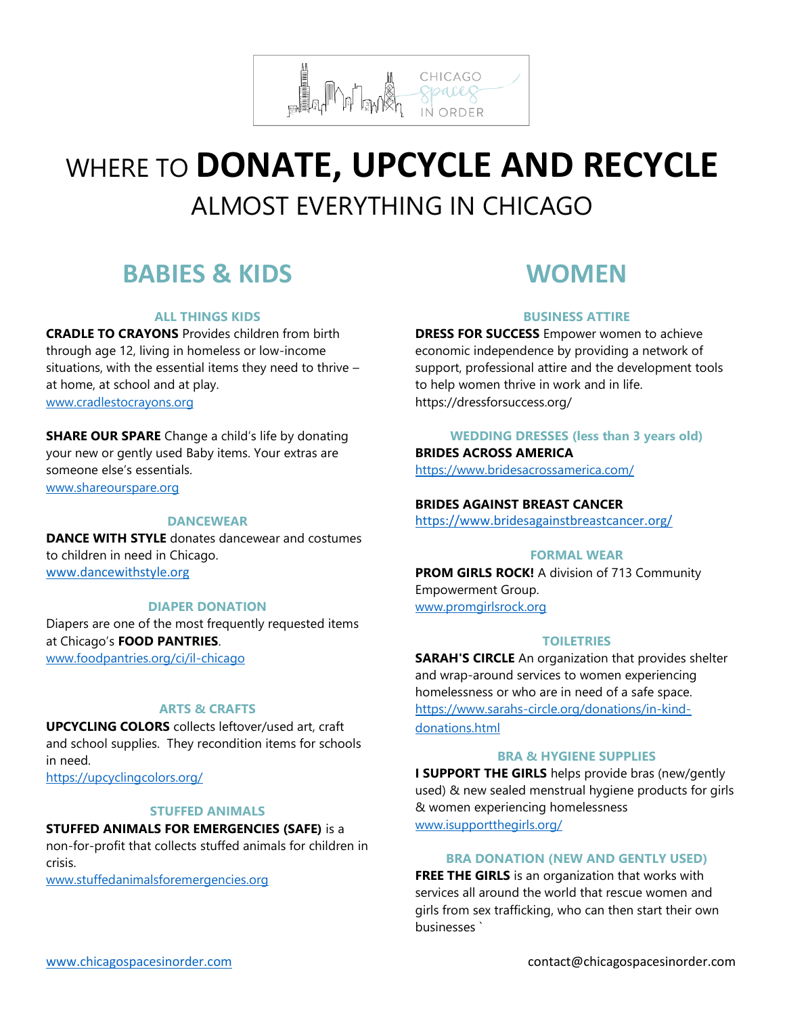

# WHERE TO **DONATE, UPCYCLE AND RECYCLE** ALMOST EVERYTHING IN CHICAGO

# **BABIES & KIDS**

# **ALL THINGS KIDS**

**CRADLE TO CRAYONS** Provides children from birth through age 12, living in homeless or low-income situations, with the essential items they need to thrive – at home, at school and at play. [www.cradlestocrayons.org](http://www.cradlestocrayons.org/)

# **SHARE OUR SPARE** Change a child's life by donating

your new or gently used Baby items. Your extras are someone else's essentials.

[www.shareourspare.org](http://www.shareourspare.org/)

#### **DANCEWEAR**

**DANCE WITH STYLE** donates dancewear and costumes to children in need in Chicago. [www.dancewithstyle.org](http://www.dancewithstyle.org/)

#### **DIAPER DONATION**

Diapers are one of the most frequently requested items at Chicago's **FOOD PANTRIES**. [www.foodpantries.org/ci/il-chicago](http://www.foodpantries.org/ci/il-chicago)

### **ARTS & CRAFTS**

**UPCYCLING COLORS** collects leftover/used art, craft and school supplies. They recondition items for schools in need. <https://upcyclingcolors.org/>

#### **STUFFED ANIMALS**

**STUFFED ANIMALS FOR EMERGENCIES (SAFE)** is a non-for-profit that collects stuffed animals for children in crisis.

[www.stuffedanimalsforemergencies.org](http://www.stuffedanimalsforemergencies.org/)

# **WOMEN**

# **BUSINESS ATTIRE**

**DRESS FOR SUCCESS** Empower women to achieve economic independence by providing a network of support, professional attire and the development tools to help women thrive in work and in life. https://dressforsuccess.org/

**WEDDING DRESSES (less than 3 years old) BRIDES ACROSS AMERICA**

<https://www.bridesacrossamerica.com/>

### **BRIDES AGAINST BREAST CANCER**

<https://www.bridesagainstbreastcancer.org/>

#### **FORMAL WEAR**

**PROM GIRLS ROCK!** A division of 713 Community Empowerment Group. [www.promgirlsrock.org](http://www.promgirlsrock.org/)

#### **TOILETRIES**

**SARAH'S CIRCLE** An organization that provides shelter and wrap-around services to women experiencing homelessness or who are in need of a safe space. [https://www.sarahs-circle.org/donations/in-kind](https://www.sarahs-circle.org/donations/in-kind-donations.html)[donations.html](https://www.sarahs-circle.org/donations/in-kind-donations.html)

#### **BRA & HYGIENE SUPPLIES**

**I SUPPORT THE GIRLS** helps provide bras (new/gently used) & new sealed menstrual hygiene products for girls & women experiencing homelessness [www.isupportthegirls.org/](https://isupportthegirls.org/)

#### **BRA DONATION (NEW AND GENTLY USED)**

**FREE THE GIRLS** is an organization that works with services all around the world that rescue women and girls from sex trafficking, who can then start their own businesses `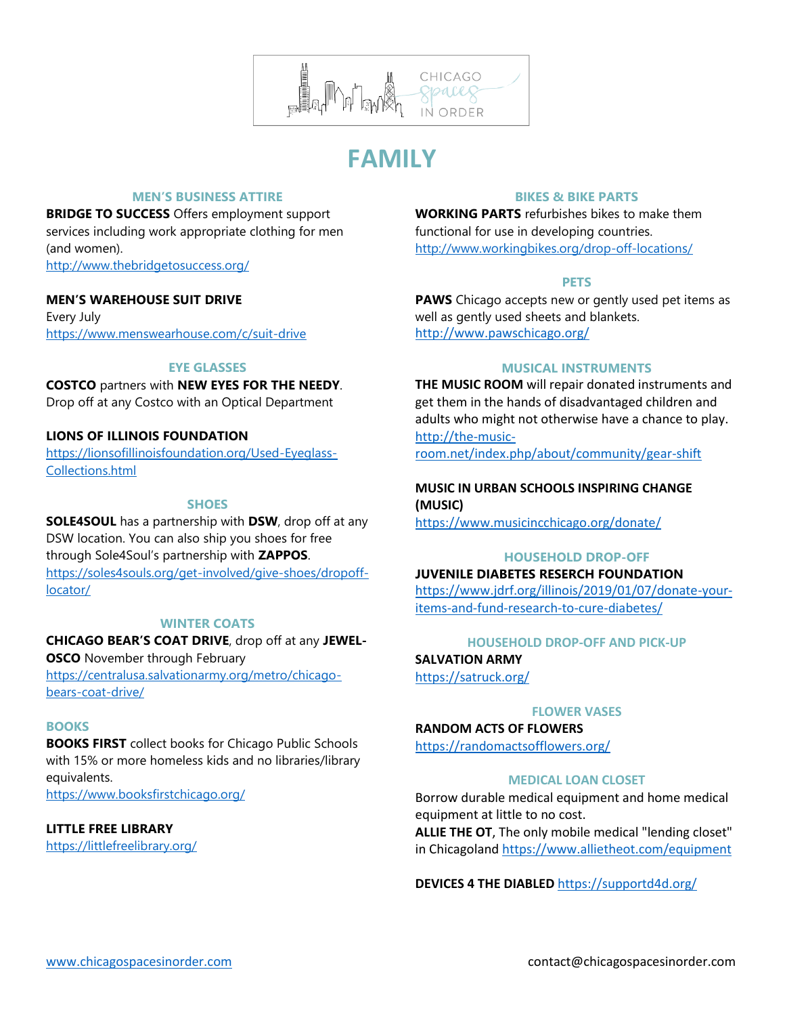

# **FAMILY**

# **MEN'S BUSINESS ATTIRE**

**BRIDGE TO SUCCESS** Offers employment support services including work appropriate clothing for men (and women). <http://www.thebridgetosuccess.org/>

### **MEN'S WAREHOUSE SUIT DRIVE**

Every July <https://www.menswearhouse.com/c/suit-drive>

#### **EYE GLASSES**

**COSTCO** partners with **NEW EYES FOR THE NEEDY**. Drop off at any Costco with an Optical Department

### **LIONS OF ILLINOIS FOUNDATION**

[https://lionsofillinoisfoundation.org/Used-Eyeglass-](https://lionsofillinoisfoundation.org/Used-Eyeglass-Collections.html)[Collections.html](https://lionsofillinoisfoundation.org/Used-Eyeglass-Collections.html)

#### **SHOES**

**SOLE4SOUL** has a partnership with **DSW**, drop off at any DSW location. You can also ship you shoes for free through Sole4Soul's partnership with **ZAPPOS**. [https://soles4souls.org/get-involved/give-shoes/dropoff](https://soles4souls.org/get-involved/give-shoes/dropoff-locator/)[locator/](https://soles4souls.org/get-involved/give-shoes/dropoff-locator/)

#### **WINTER COATS**

**CHICAGO BEAR'S COAT DRIVE**, drop off at any **JEWEL-**

**OSCO** November through February [https://centralusa.salvationarmy.org/metro/chicago](https://centralusa.salvationarmy.org/metro/chicago-bears-coat-drive/)[bears-coat-drive/](https://centralusa.salvationarmy.org/metro/chicago-bears-coat-drive/)

#### **BOOKS**

**BOOKS FIRST** collect books for Chicago Public Schools with 15% or more homeless kids and no libraries/library equivalents.

<https://www.booksfirstchicago.org/>

# **LITTLE FREE LIBRARY**

<https://littlefreelibrary.org/>

# **BIKES & BIKE PARTS**

**WORKING PARTS** refurbishes bikes to make them functional for use in developing countries. <http://www.workingbikes.org/drop-off-locations/>

#### **PETS**

**PAWS** Chicago accepts new or gently used pet items as well as gently used sheets and blankets. <http://www.pawschicago.org/>

#### **MUSICAL INSTRUMENTS**

**THE MUSIC ROOM** will repair donated instruments and get them in the hands of disadvantaged children and adults who might not otherwise have a chance to play. [http://the-music-](http://the-music-room.net/index.php/about/community/gear-shift)

[room.net/index.php/about/community/gear-shift](http://the-music-room.net/index.php/about/community/gear-shift)

#### **MUSIC IN URBAN SCHOOLS INSPIRING CHANGE (MUSIC)**

<https://www.musicincchicago.org/donate/>

# **HOUSEHOLD DROP-OFF**

**JUVENILE DIABETES RESERCH FOUNDATION** [https://www.jdrf.org/illinois/2019/01/07/donate-your](https://www.jdrf.org/illinois/2019/01/07/donate-your-items-and-fund-research-to-cure-diabetes/)[items-and-fund-research-to-cure-diabetes/](https://www.jdrf.org/illinois/2019/01/07/donate-your-items-and-fund-research-to-cure-diabetes/)

### **HOUSEHOLD DROP-OFF AND PICK-UP**

**SALVATION ARMY** <https://satruck.org/>

#### **FLOWER VASES**

**RANDOM ACTS OF FLOWERS** 

<https://randomactsofflowers.org/>

#### **MEDICAL LOAN CLOSET**

Borrow durable medical equipment and home medical equipment at little to no cost.

**ALLIE THE OT**, The only mobile medical "lending closet" in Chicagoland <https://www.allietheot.com/equipment>

**DEVICES 4 THE DIABLED** <https://supportd4d.org/>